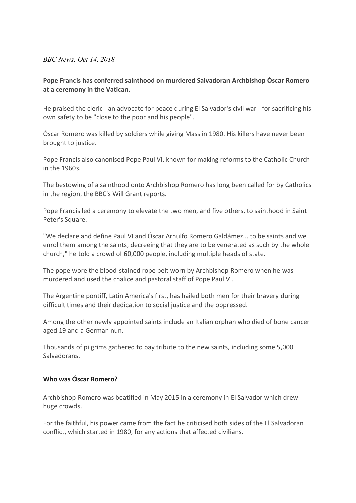## *BBC News, Oct 14, 2018*

## **Pope Francis has conferred sainthood on murdered Salvadoran Archbishop Óscar Romero at a ceremony in the Vatican.**

He praised the cleric - an advocate for peace during El Salvador's civil war - for sacrificing his own safety to be "close to the poor and his people".

Óscar Romero was killed by soldiers while giving Mass in 1980. His killers have never been brought to justice.

Pope Francis also canonised Pope Paul VI, known for making reforms to the Catholic Church in the 1960s.

The bestowing of a sainthood onto Archbishop Romero has long been called for by Catholics in the region, the BBC's Will Grant reports.

Pope Francis led a ceremony to elevate the two men, and five others, to sainthood in Saint Peter's Square.

"We declare and define Paul VI and Óscar Arnulfo Romero Galdámez... to be saints and we enrol them among the saints, decreeing that they are to be venerated as such by the whole church," he told a crowd of 60,000 people, including multiple heads of state.

The pope wore the blood-stained rope belt worn by Archbishop Romero when he was murdered and used the chalice and pastoral staff of Pope Paul VI.

The Argentine pontiff, Latin America's first, has hailed both men for their bravery during difficult times and their dedication to social justice and the oppressed.

Among the other newly appointed saints include an Italian orphan who died of bone cancer aged 19 and a German nun.

Thousands of pilgrims gathered to pay tribute to the new saints, including some 5,000 Salvadorans.

## **Who was Óscar Romero?**

Archbishop Romero was beatified in May 2015 in a ceremony in El Salvador which drew huge crowds.

For the faithful, his power came from the fact he criticised both sides of the El Salvadoran conflict, which started in 1980, for any actions that affected civilians.